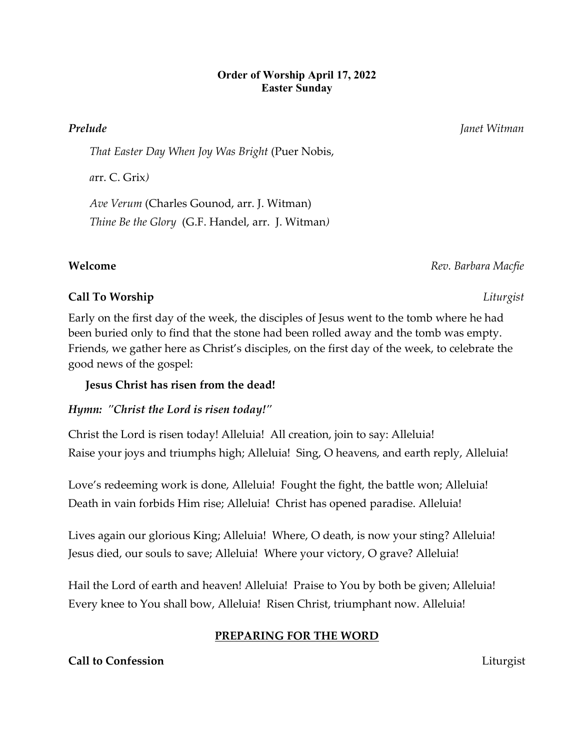### **Order of Worship April 17, 2022 Easter Sunday**

*Prelude Janet Witman*

*That Easter Day When Joy Was Bright* (Puer Nobis,

*a*rr. C. Grix*)*

*Ave Verum* (Charles Gounod, arr. J. Witman) *Thine Be the Glory* (G.F. Handel, arr. J. Witman*)*

# **Welcome** *Rev. Barbara Macfie*

# **Call To Worship** *Liturgist*

Early on the first day of the week, the disciples of Jesus went to the tomb where he had been buried only to find that the stone had been rolled away and the tomb was empty. Friends, we gather here as Christ's disciples, on the first day of the week, to celebrate the good news of the gospel:

### **Jesus Christ has risen from the dead!**

# *Hymn: "Christ the Lord is risen today!"*

Christ the Lord is risen today! Alleluia! All creation, join to say: Alleluia! Raise your joys and triumphs high; Alleluia! Sing, O heavens, and earth reply, Alleluia!

Love's redeeming work is done, Alleluia! Fought the fight, the battle won; Alleluia! Death in vain forbids Him rise; Alleluia! Christ has opened paradise. Alleluia!

Lives again our glorious King; Alleluia! Where, O death, is now your sting? Alleluia! Jesus died, our souls to save; Alleluia! Where your victory, O grave? Alleluia!

Hail the Lord of earth and heaven! Alleluia! Praise to You by both be given; Alleluia! Every knee to You shall bow, Alleluia! Risen Christ, triumphant now. Alleluia!

# **PREPARING FOR THE WORD**

# **Call to Confession** Liturgist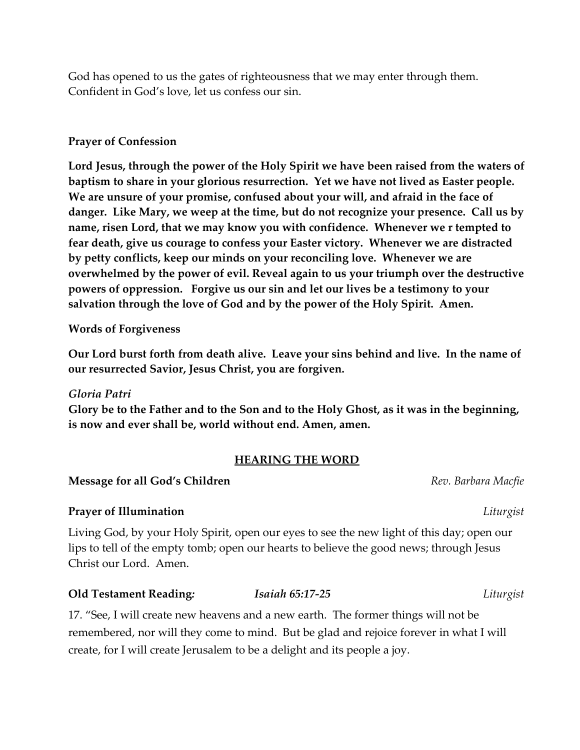God has opened to us the gates of righteousness that we may enter through them. Confident in God's love, let us confess our sin.

### **Prayer of Confession**

**Lord Jesus, through the power of the Holy Spirit we have been raised from the waters of baptism to share in your glorious resurrection. Yet we have not lived as Easter people. We are unsure of your promise, confused about your will, and afraid in the face of danger. Like Mary, we weep at the time, but do not recognize your presence. Call us by name, risen Lord, that we may know you with confidence. Whenever we r tempted to fear death, give us courage to confess your Easter victory. Whenever we are distracted by petty conflicts, keep our minds on your reconciling love. Whenever we are overwhelmed by the power of evil. Reveal again to us your triumph over the destructive powers of oppression. Forgive us our sin and let our lives be a testimony to your salvation through the love of God and by the power of the Holy Spirit. Amen.**

### **Words of Forgiveness**

**Our Lord burst forth from death alive. Leave your sins behind and live. In the name of our resurrected Savior, Jesus Christ, you are forgiven.**

### *Gloria Patri*

**Glory be to the Father and to the Son and to the Holy Ghost, as it was in the beginning, is now and ever shall be, world without end. Amen, amen.**

### **HEARING THE WORD**

**Message for all God's Children** *Rev. Barbara Macfie*

### **Prayer of Illumination** *Liturgist*

Living God, by your Holy Spirit, open our eyes to see the new light of this day; open our lips to tell of the empty tomb; open our hearts to believe the good news; through Jesus Christ our Lord. Amen.

# **Old Testament Reading***: Isaiah 65:17-25 Liturgist*

17. "See, I will create new heavens and a new earth. The former things will not be remembered, nor will they come to mind. But be glad and rejoice forever in what I will create, for I will create Jerusalem to be a delight and its people a joy.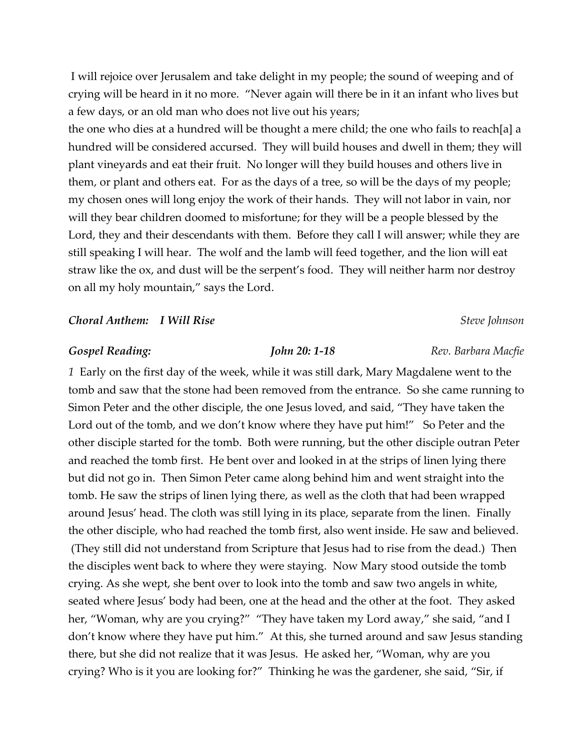I will rejoice over Jerusalem and take delight in my people; the sound of weeping and of crying will be heard in it no more. "Never again will there be in it an infant who lives but a few days, or an old man who does not live out his years;

the one who dies at a hundred will be thought a mere child; the one who fails to reach[a] a hundred will be considered accursed. They will build houses and dwell in them; they will plant vineyards and eat their fruit. No longer will they build houses and others live in them, or plant and others eat. For as the days of a tree, so will be the days of my people; my chosen ones will long enjoy the work of their hands. They will not labor in vain, nor will they bear children doomed to misfortune; for they will be a people blessed by the Lord, they and their descendants with them. Before they call I will answer; while they are still speaking I will hear. The wolf and the lamb will feed together, and the lion will eat straw like the ox, and dust will be the serpent's food. They will neither harm nor destroy on all my holy mountain," says the Lord.

### *Choral Anthem: I Will Rise Steve Johnson*

*Gospel Reading: John 20: 1-18 Rev. Barbara Macfie*

*1* Early on the first day of the week, while it was still dark, Mary Magdalene went to the tomb and saw that the stone had been removed from the entrance. So she came running to Simon Peter and the other disciple, the one Jesus loved, and said, "They have taken the Lord out of the tomb, and we don't know where they have put him!" So Peter and the other disciple started for the tomb. Both were running, but the other disciple outran Peter and reached the tomb first. He bent over and looked in at the strips of linen lying there but did not go in. Then Simon Peter came along behind him and went straight into the tomb. He saw the strips of linen lying there, as well as the cloth that had been wrapped around Jesus' head. The cloth was still lying in its place, separate from the linen. Finally the other disciple, who had reached the tomb first, also went inside. He saw and believed. (They still did not understand from Scripture that Jesus had to rise from the dead.) Then the disciples went back to where they were staying. Now Mary stood outside the tomb crying. As she wept, she bent over to look into the tomb and saw two angels in white, seated where Jesus' body had been, one at the head and the other at the foot. They asked her, "Woman, why are you crying?" "They have taken my Lord away," she said, "and I don't know where they have put him." At this, she turned around and saw Jesus standing there, but she did not realize that it was Jesus. He asked her, "Woman, why are you crying? Who is it you are looking for?" Thinking he was the gardener, she said, "Sir, if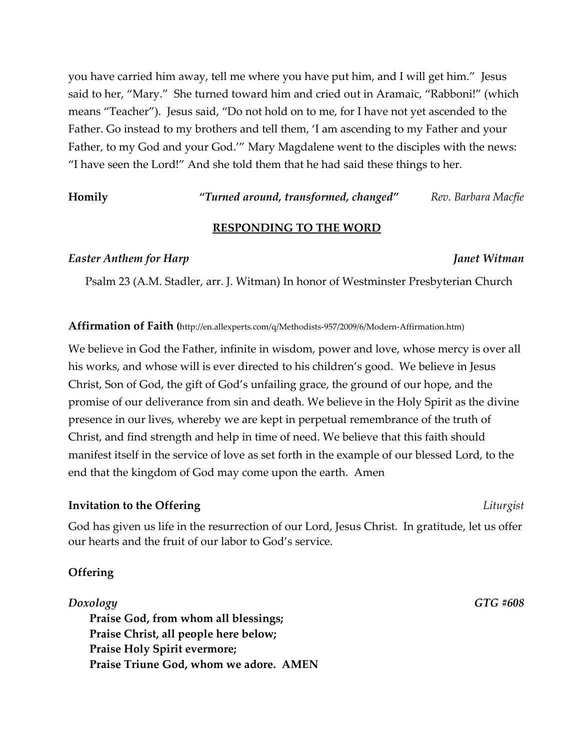you have carried him away, tell me where you have put him, and I will get him." Jesus said to her, "Mary." She turned toward him and cried out in Aramaic, "Rabboni!" (which means "Teacher"). Jesus said, "Do not hold on to me, for I have not yet ascended to the Father. Go instead to my brothers and tell them, 'I am ascending to my Father and your Father, to my God and your God.'" Mary Magdalene went to the disciples with the news: "I have seen the Lord!" And she told them that he had said these things to her.

**Homily** *"Turned around, transformed, changed" Rev. Barbara Macfie*

### **RESPONDING TO THE WORD**

### *Easter Anthem for Harp Janet Witman*

Psalm 23 (A.M. Stadler, arr. J. Witman) In honor of Westminster Presbyterian Church

### **Affirmation of Faith (**http://en.allexperts.com/q/Methodists-957/2009/6/Modern-Affirmation.htm)

We believe in God the Father, infinite in wisdom, power and love, whose mercy is over all his works, and whose will is ever directed to his children's good. We believe in Jesus Christ, Son of God, the gift of God's unfailing grace, the ground of our hope, and the promise of our deliverance from sin and death. We believe in the Holy Spirit as the divine presence in our lives, whereby we are kept in perpetual remembrance of the truth of Christ, and find strength and help in time of need. We believe that this faith should manifest itself in the service of love as set forth in the example of our blessed Lord, to the end that the kingdom of God may come upon the earth. Amen

### **Invitation to the Offering** *Liturgist*

God has given us life in the resurrection of our Lord, Jesus Christ. In gratitude, let us offer our hearts and the fruit of our labor to God's service.

### **Offering**

### *Doxology GTG #608*

**Praise God, from whom all blessings; Praise Christ, all people here below; Praise Holy Spirit evermore; Praise Triune God, whom we adore. AMEN**